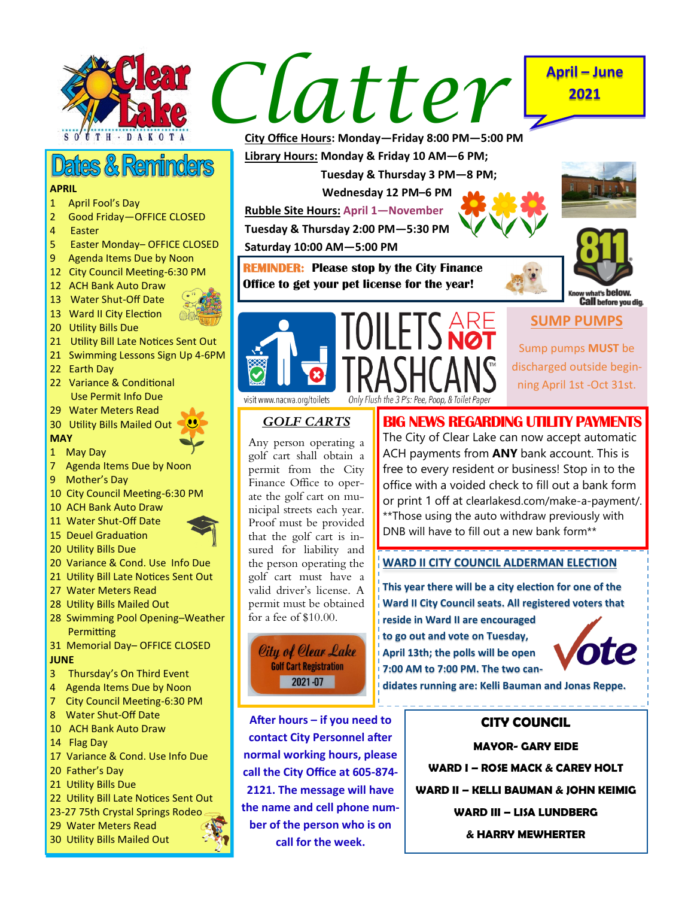

# **Dates & Reminders**

### **APRIL**

- 1 April Fool's Day
- 2 Good Friday—OFFICE CLOSED
- 4 Easter
- 5 Easter Monday– OFFICE CLOSED
- 9 Agenda Items Due by Noon
- 12 City Council Meeting-6:30 PM
- 12 ACH Bank Auto Draw
- 13 Water Shut-Off Date
- 13 Ward II City Election
- 20 Utility Bills Due
- 21 Utility Bill Late Notices Sent Out
- 21 Swimming Lessons Sign Up 4-6PM
- 22 Earth Day
- 22 Variance & Conditional Use Permit Info Due
- 29 Water Meters Read
- 30 Utility Bills Mailed Out
- **MAY**
- 1 May Day
- 7 Agenda Items Due by Noon
- 9 Mother's Day
- 10 City Council Meeting-6:30 PM
- 10 ACH Bank Auto Draw
- 11 Water Shut-Off Date
- 15 Deuel Graduation
- 20 Utility Bills Due
- 20 Variance & Cond. Use Info Due
- 21 Utility Bill Late Notices Sent Out
- 27 Water Meters Read
- 28 Utility Bills Mailed Out
- 28 Swimming Pool Opening–Weather **Permitting**
- 31 Memorial Day– OFFICE CLOSED **JUNE**
- 3 Thursday's On Third Event
- 4 Agenda Items Due by Noon
- 7 City Council Meeting-6:30 PM
- 8 Water Shut-Off Date
- 10 ACH Bank Auto Draw
- 14 Flag Day
- 17 Variance & Cond. Use Info Due
- 20 Father's Day
- 21 Utility Bills Due
- 22 Utility Bill Late Notices Sent Out
- 23-27 75th Crystal Springs Rodeo
- 29 Water Meters Read
- 30 Utility Bills Mailed Out



**City Office Hours: Monday—Friday 8:00 PM—5:00 PM**

**Library Hours: Monday & Friday 10 AM—6 PM;**

 **Tuesday & Thursday 3 PM—8 PM;** 

 **Wednesday 12 PM–6 PM**

**Rubble Site Hours: April 1—November**

**Tuesday & Thursday 2:00 PM—5:30 PM**

**Saturday 10:00 AM—5:00 PM**

**REMINDER: Please stop by the City Finance Office to get your pet license for the year!** 



**2021**



**Call** before you dig.

# **SUMP PUMPS**

Sump pumps **MUST** be discharged outside beginning April 1st -Oct 31st.

visit www.nacwa.org/toilets

## *GOLF CARTS*

Any person operating a golf cart shall obtain a permit from the City Finance Office to operate the golf cart on municipal streets each year. Proof must be provided that the golf cart is insured for liability and the person operating the golf cart must have a valid driver's license. A permit must be obtained for a fee of \$10.00.

City of Clear Lake **Golf Cart Registration** 2021-07

**After hours – if you need to contact City Personnel after normal working hours, please call the City Office at 605-874- 2121. The message will have the name and cell phone number of the person who is on call for the week.**

## **BIG NEWS REGARDING UTILITY PAYMENTS** The City of Clear Lake can now accept automatic ACH payments from **ANY** bank account. This is free to every resident or business! Stop in to the office with a voided check to fill out a bank form or print 1 off at clearlakesd.com/make-a-payment/.

## **WARD II CITY COUNCIL ALDERMAN ELECTION**

\*\*Those using the auto withdraw previously with DNB will have to fill out a new bank form\*\*

**This year there will be a city election for one of the Ward II City Council seats. All registered voters that reside in Ward II are encouraged to go out and vote on Tuesday, April 13th; the polls will be open 7:00 AM to 7:00 PM. The two can-**



**didates running are: Kelli Bauman and Jonas Reppe.**

## **CITY COUNCIL**

**MAYOR- GARY EIDE WARD I – ROSE MACK & CAREY HOLT WARD II – KELLI BAUMAN & JOHN KEIMIG WARD III – LISA LUNDBERG & HARRY MEWHERTER**